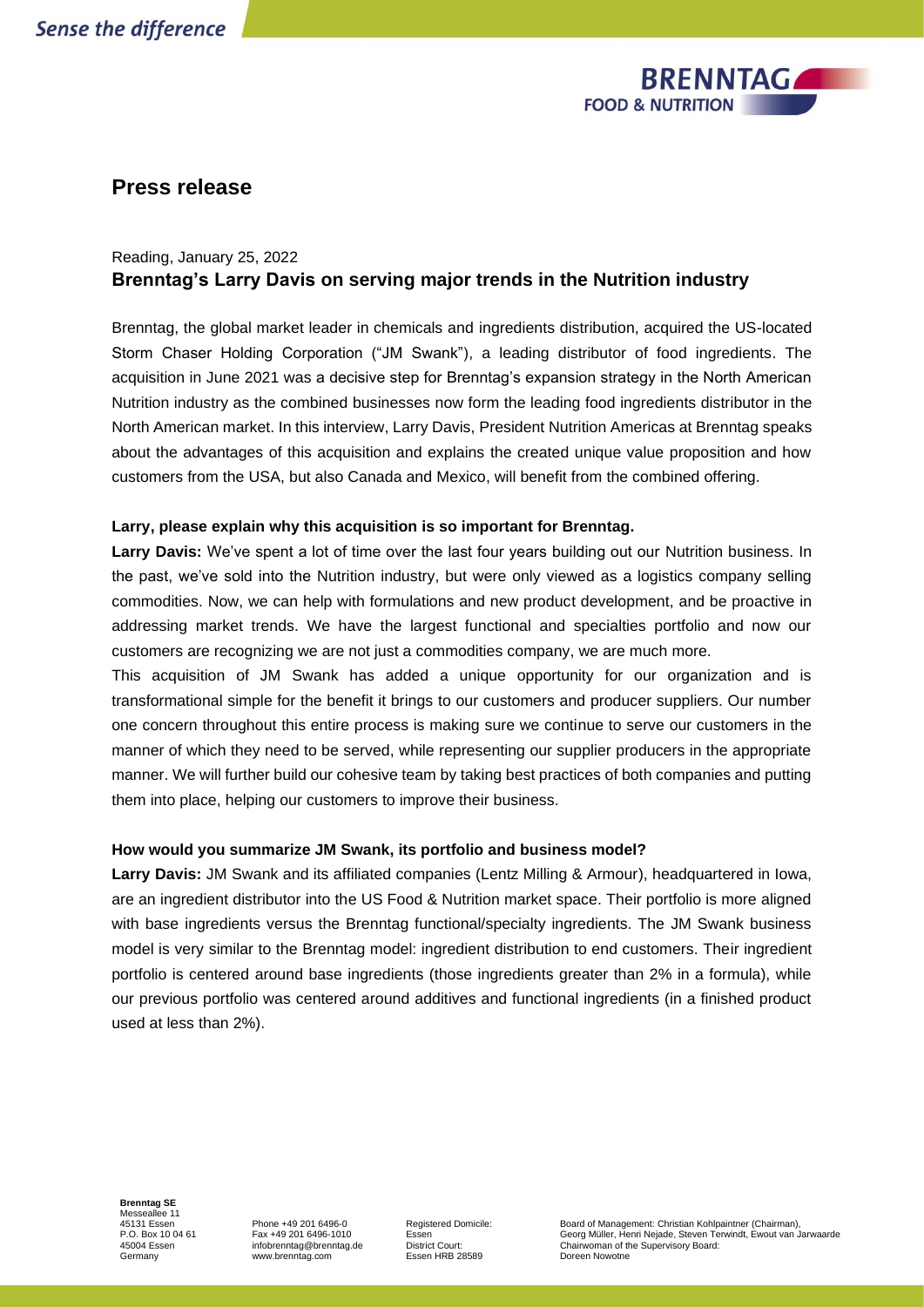

# **Press release**

## Reading, January 25, 2022 **Brenntag's Larry Davis on serving major trends in the Nutrition industry**

Brenntag, the global market leader in chemicals and ingredients distribution, acquired the US-located Storm Chaser Holding Corporation ("JM Swank"), a leading distributor of food ingredients. The acquisition in June 2021 was a decisive step for Brenntag's expansion strategy in the North American Nutrition industry as the combined businesses now form the leading food ingredients distributor in the North American market. In this interview, Larry Davis, President Nutrition Americas at Brenntag speaks about the advantages of this acquisition and explains the created unique value proposition and how customers from the USA, but also Canada and Mexico, will benefit from the combined offering.

### **Larry, please explain why this acquisition is so important for Brenntag.**

**Larry Davis:** We've spent a lot of time over the last four years building out our Nutrition business. In the past, we've sold into the Nutrition industry, but were only viewed as a logistics company selling commodities. Now, we can help with formulations and new product development, and be proactive in addressing market trends. We have the largest functional and specialties portfolio and now our customers are recognizing we are not just a commodities company, we are much more.

This acquisition of JM Swank has added a unique opportunity for our organization and is transformational simple for the benefit it brings to our customers and producer suppliers. Our number one concern throughout this entire process is making sure we continue to serve our customers in the manner of which they need to be served, while representing our supplier producers in the appropriate manner. We will further build our cohesive team by taking best practices of both companies and putting them into place, helping our customers to improve their business.

### **How would you summarize JM Swank, its portfolio and business model?**

**Larry Davis:** JM Swank and its affiliated companies (Lentz Milling & Armour), headquartered in Iowa, are an ingredient distributor into the US Food & Nutrition market space. Their portfolio is more aligned with base ingredients versus the Brenntag functional/specialty ingredients. The JM Swank business model is very similar to the Brenntag model: ingredient distribution to end customers. Their ingredient portfolio is centered around base ingredients (those ingredients greater than 2% in a formula), while our previous portfolio was centered around additives and functional ingredients (in a finished product used at less than 2%).

**Brenntag SE** Messeallee 11 45131 Essen P.O. Box 10 04 61 45004 Essen Germany

Phone +49 201 6496-0 Fax +49 201 6496-1010 infobrenntag@brenntag.de www.brenntag.com

Registered Domicile: Essen District Court: Essen HRB 28589

Board of Management: Christian Kohlpaintner (Chairman), Georg Müller, Henri Nejade, Steven Terwindt, Ewout van Jarwaarde Chairwoman of the Supervisory Board: Doreen Nowotne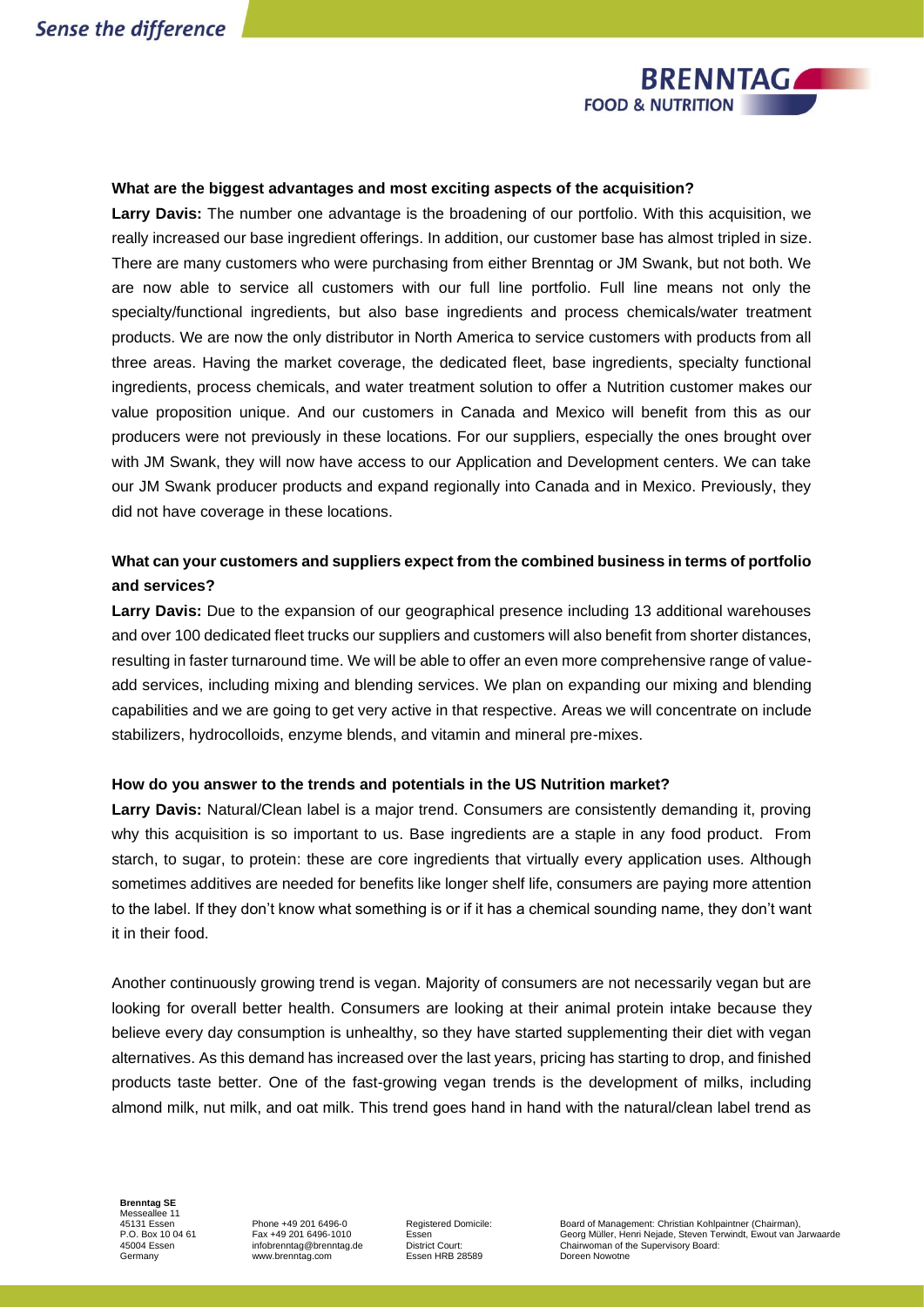# **BRENNTAGALL FOOD & NUTRITION**

### **What are the biggest advantages and most exciting aspects of the acquisition?**

**Larry Davis:** The number one advantage is the broadening of our portfolio. With this acquisition, we really increased our base ingredient offerings. In addition, our customer base has almost tripled in size. There are many customers who were purchasing from either Brenntag or JM Swank, but not both. We are now able to service all customers with our full line portfolio. Full line means not only the specialty/functional ingredients, but also base ingredients and process chemicals/water treatment products. We are now the only distributor in North America to service customers with products from all three areas. Having the market coverage, the dedicated fleet, base ingredients, specialty functional ingredients, process chemicals, and water treatment solution to offer a Nutrition customer makes our value proposition unique. And our customers in Canada and Mexico will benefit from this as our producers were not previously in these locations. For our suppliers, especially the ones brought over with JM Swank, they will now have access to our Application and Development centers. We can take our JM Swank producer products and expand regionally into Canada and in Mexico. Previously, they did not have coverage in these locations.

### **What can your customers and suppliers expect from the combined business in terms of portfolio and services?**

**Larry Davis:** Due to the expansion of our geographical presence including 13 additional warehouses and over 100 dedicated fleet trucks our suppliers and customers will also benefit from shorter distances, resulting in faster turnaround time. We will be able to offer an even more comprehensive range of valueadd services, including mixing and blending services. We plan on expanding our mixing and blending capabilities and we are going to get very active in that respective. Areas we will concentrate on include stabilizers, hydrocolloids, enzyme blends, and vitamin and mineral pre-mixes.

### **How do you answer to the trends and potentials in the US Nutrition market?**

**Larry Davis:** Natural/Clean label is a major trend. Consumers are consistently demanding it, proving why this acquisition is so important to us. Base ingredients are a staple in any food product. From starch, to sugar, to protein: these are core ingredients that virtually every application uses. Although sometimes additives are needed for benefits like longer shelf life, consumers are paying more attention to the label. If they don't know what something is or if it has a chemical sounding name, they don't want it in their food.

Another continuously growing trend is vegan. Majority of consumers are not necessarily vegan but are looking for overall better health. Consumers are looking at their animal protein intake because they believe every day consumption is unhealthy, so they have started supplementing their diet with vegan alternatives. As this demand has increased over the last years, pricing has starting to drop, and finished products taste better. One of the fast-growing vegan trends is the development of milks, including almond milk, nut milk, and oat milk. This trend goes hand in hand with the natural/clean label trend as

**Brenntag SE** Messeallee 11 45131 Essen P.O. Box 10 04 61 45004 Essen Germany

Phone +49 201 6496-0 Fax +49 201 6496-1010 infobrenntag@brenntag.de www.brenntag.com

Registered Domicile: Essen District Court: Essen HRB 28589

Board of Management: Christian Kohlpaintner (Chairman), Georg Müller, Henri Nejade, Steven Terwindt, Ewout van Jarwaarde Chairwoman of the Supervisory Board: Doreen Nowotne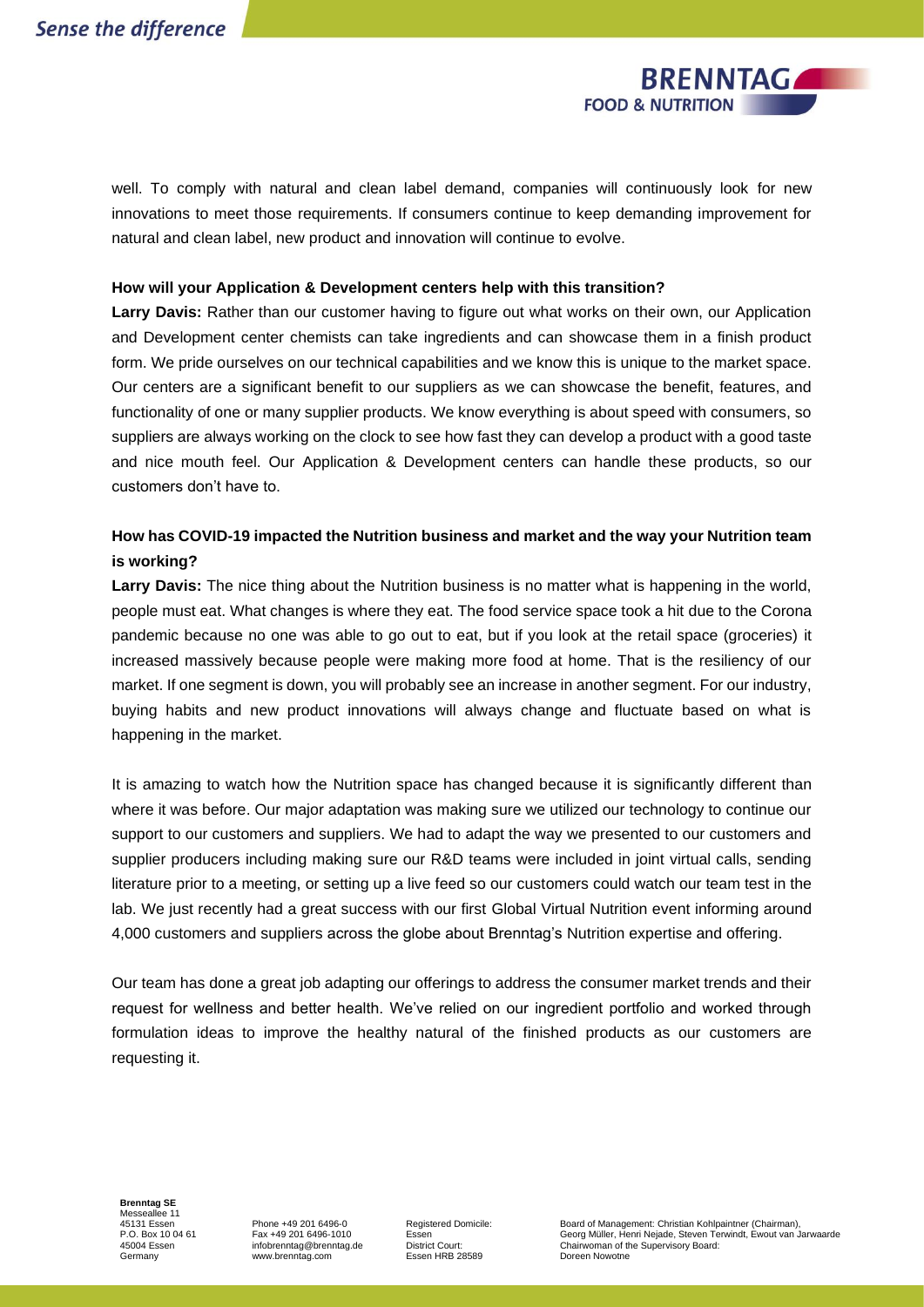well. To comply with natural and clean label demand, companies will continuously look for new innovations to meet those requirements. If consumers continue to keep demanding improvement for natural and clean label, new product and innovation will continue to evolve.

### **How will your Application & Development centers help with this transition?**

**Larry Davis:** Rather than our customer having to figure out what works on their own, our Application and Development center chemists can take ingredients and can showcase them in a finish product form. We pride ourselves on our technical capabilities and we know this is unique to the market space. Our centers are a significant benefit to our suppliers as we can showcase the benefit, features, and functionality of one or many supplier products. We know everything is about speed with consumers, so suppliers are always working on the clock to see how fast they can develop a product with a good taste and nice mouth feel. Our Application & Development centers can handle these products, so our customers don't have to.

# **How has COVID-19 impacted the Nutrition business and market and the way your Nutrition team is working?**

**Larry Davis:** The nice thing about the Nutrition business is no matter what is happening in the world, people must eat. What changes is where they eat. The food service space took a hit due to the Corona pandemic because no one was able to go out to eat, but if you look at the retail space (groceries) it increased massively because people were making more food at home. That is the resiliency of our market. If one segment is down, you will probably see an increase in another segment. For our industry, buying habits and new product innovations will always change and fluctuate based on what is happening in the market.

It is amazing to watch how the Nutrition space has changed because it is significantly different than where it was before. Our major adaptation was making sure we utilized our technology to continue our support to our customers and suppliers. We had to adapt the way we presented to our customers and supplier producers including making sure our R&D teams were included in joint virtual calls, sending literature prior to a meeting, or setting up a live feed so our customers could watch our team test in the lab. We just recently had a great success with our first Global Virtual Nutrition event informing around 4,000 customers and suppliers across the globe about Brenntag's Nutrition expertise and offering.

Our team has done a great job adapting our offerings to address the consumer market trends and their request for wellness and better health. We've relied on our ingredient portfolio and worked through formulation ideas to improve the healthy natural of the finished products as our customers are requesting it.

**Brenntag SE** Messeallee 11 45131 Essen P.O. Box 10 04 61 45004 Essen Germany

Phone +49 201 6496-0 Fax +49 201 6496-1010 infobrenntag@brenntag.de www.brenntag.com

Registered Domicile: Essen District Court: Essen HRB 28589

Board of Management: Christian Kohlpaintner (Chairman), Georg Müller, Henri Nejade, Steven Terwindt, Ewout van Jarwaarde Chairwoman of the Supervisory Board: Doreen Nowotne

**BRENNTAGALL** 

**FOOD & NUTRITION**